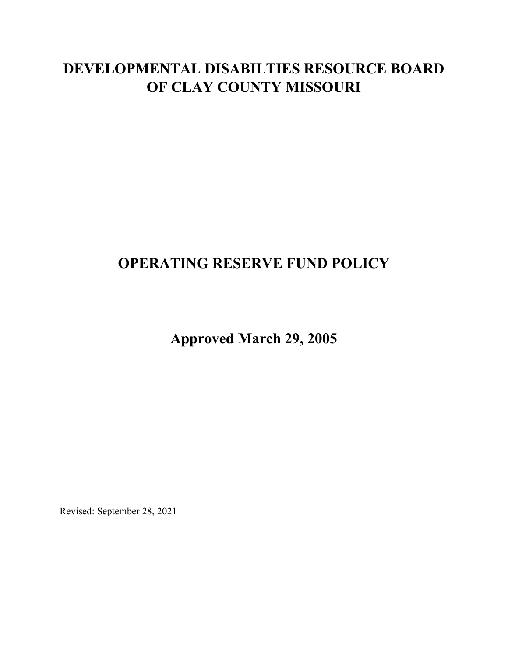# **DEVELOPMENTAL DISABILTIES RESOURCE BOARD OF CLAY COUNTY MISSOURI**

### **OPERATING RESERVE FUND POLICY**

**Approved March 29, 2005**

Revised: September 28, 2021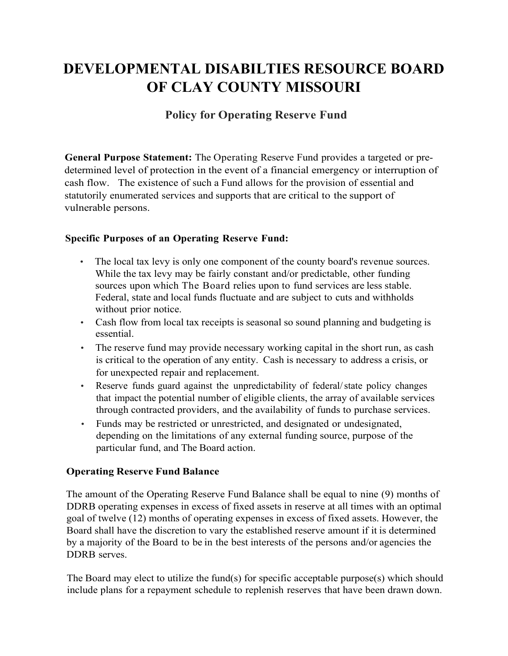# **DEVELOPMENTAL DISABILTIES RESOURCE BOARD OF CLAY COUNTY MISSOURI**

### **Policy for Operating Reserve Fund**

**General Purpose Statement:** The Operating Reserve Fund provides a targeted or predetermined level of protection in the event of a financial emergency or interruption of cash flow. The existence of such a Fund allows for the provision of essential and statutorily enumerated services and supports that are critical to the support of vulnerable persons.

#### **Specific Purposes of an Operating Reserve Fund:**

- The local tax levy is only one component of the county board's revenue sources. While the tax levy may be fairly constant and/or predictable, other funding sources upon which The Board relies upon to fund services are less stable. Federal, state and local funds fluctuate and are subject to cuts and withholds without prior notice.
- Cash flow from local tax receipts is seasonal so sound planning and budgeting is essential.
- The reserve fund may provide necessary working capital in the short run, as cash is critical to the operation of any entity. Cash is necessary to address a crisis, or for unexpected repair and replacement.
- Reserve funds guard against the unpredictability of federal/state policy changes that impact the potential number of eligible clients, the array of available services through contracted providers, and the availability of funds to purchase services.
- Funds may be restricted or unrestricted, and designated or undesignated, depending on the limitations of any external funding source, purpose of the particular fund, and The Board action.

#### **Operating Reserve Fund Balance**

The amount of the Operating Reserve Fund Balance shall be equal to nine (9) months of DDRB operating expenses in excess of fixed assets in reserve at all times with an optimal goal of twelve (12) months of operating expenses in excess of fixed assets. However, the Board shall have the discretion to vary the established reserve amount if it is determined by a majority of the Board to be in the best interests of the persons and/or agencies the DDRB serves.

The Board may elect to utilize the fund(s) for specific acceptable purpose(s) which should include plans for a repayment schedule to replenish reserves that have been drawn down.